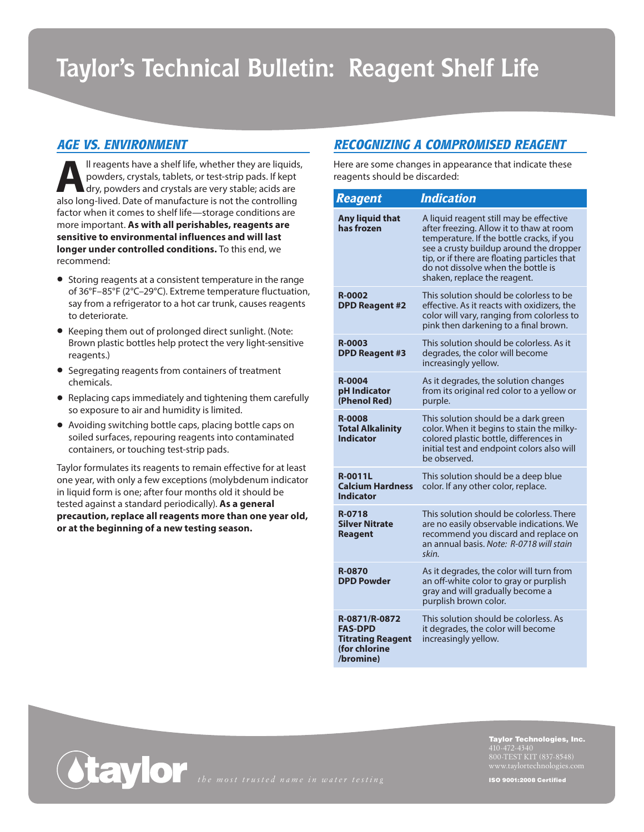# **Taylor's Technical Bulletin: Reagent Shelf Life**

## *AGE VS. ENVIRONMENT*

**All reagents have a shelf life, whether they are liquids, powders, crystals, tablets, or test-strip pads. If kept dry, powders and crystals are very stable; acids are also long lived. Date of manufacture is not the contro** powders, crystals, tablets, or test-strip pads. If kept dry, powders and crystals are very stable; acids are also long-lived. Date of manufacture is not the controlling factor when it comes to shelf life—storage conditions are more important. **As with all perishables, reagents are sensitive to environmental influences and will last longer under controlled conditions.** To this end, we recommend:

- Storing reagents at a consistent temperature in the range of 36°F–85°F (2°C–29°C). Extreme temperature fluctuation, say from a refrigerator to a hot car trunk, causes reagents to deteriorate.
- Keeping them out of prolonged direct sunlight. (Note: Brown plastic bottles help protect the very light-sensitive reagents.)
- Segregating reagents from containers of treatment chemicals.
- Replacing caps immediately and tightening them carefully so exposure to air and humidity is limited.
- Avoiding switching bottle caps, placing bottle caps on soiled surfaces, repouring reagents into contaminated containers, or touching test-strip pads.

Taylor formulates its reagents to remain effective for at least one year, with only a few exceptions (molybdenum indicator in liquid form is one; after four months old it should be tested against a standard periodically). **As a general precaution, replace all reagents more than one year old, or at the beginning of a new testing season.** 

## *RECOGNIZING A COMPROMISED REAGENT*

Here are some changes in appearance that indicate these reagents should be discarded:

| <b>Reagent</b>                                                                            | <b>Indication</b>                                                                                                                                                                                                                                                                                 |
|-------------------------------------------------------------------------------------------|---------------------------------------------------------------------------------------------------------------------------------------------------------------------------------------------------------------------------------------------------------------------------------------------------|
| Any liquid that<br>has frozen                                                             | A liquid reagent still may be effective<br>after freezing. Allow it to thaw at room<br>temperature. If the bottle cracks, if you<br>see a crusty buildup around the dropper<br>tip, or if there are floating particles that<br>do not dissolve when the bottle is<br>shaken, replace the reagent. |
| <b>R-0002</b><br><b>DPD Reagent #2</b>                                                    | This solution should be colorless to be<br>effective. As it reacts with oxidizers, the<br>color will vary, ranging from colorless to<br>pink then darkening to a final brown.                                                                                                                     |
| <b>R-0003</b><br><b>DPD Reagent #3</b>                                                    | This solution should be colorless. As it<br>degrades, the color will become<br>increasingly yellow.                                                                                                                                                                                               |
| <b>R-0004</b><br>pH Indicator<br>(Phenol Red)                                             | As it degrades, the solution changes<br>from its original red color to a yellow or<br>purple.                                                                                                                                                                                                     |
| <b>R-0008</b><br><b>Total Alkalinity</b><br><b>Indicator</b>                              | This solution should be a dark green<br>color. When it begins to stain the milky-<br>colored plastic bottle, differences in<br>initial test and endpoint colors also will<br>be observed.                                                                                                         |
| <b>R-0011L</b><br><b>Calcium Hardness</b><br><b>Indicator</b>                             | This solution should be a deep blue<br>color. If any other color, replace.                                                                                                                                                                                                                        |
| R-0718<br><b>Silver Nitrate</b><br><b>Reagent</b>                                         | This solution should be colorless. There<br>are no easily observable indications. We<br>recommend you discard and replace on<br>an annual basis. Note: R-0718 will stain<br>skin.                                                                                                                 |
| <b>R-0870</b><br><b>DPD Powder</b>                                                        | As it degrades, the color will turn from<br>an off-white color to gray or purplish<br>gray and will gradually become a<br>purplish brown color.                                                                                                                                                   |
| R-0871/R-0872<br><b>FAS-DPD</b><br><b>Titrating Reagent</b><br>(for chlorine<br>/bromine) | This solution should be colorless. As<br>it degrades, the color will become<br>increasingly yellow.                                                                                                                                                                                               |

Taylor Technologies, Inc. 800-TEST KIT (837-8548)

ISO 9001:2008 Certified